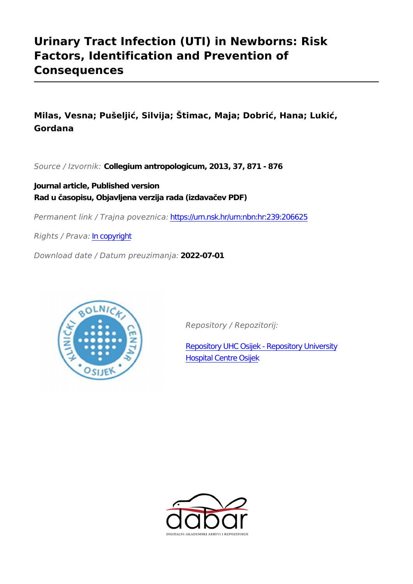# **Urinary Tract Infection (UTI) in Newborns: Risk Factors, Identification and Prevention of Consequences**

**Milas, Vesna; Pušeljić, Silvija; Štimac, Maja; Dobrić, Hana; Lukić, Gordana**

*Source / Izvornik:* **Collegium antropologicum, 2013, 37, 871 - 876**

**Journal article, Published version Rad u časopisu, Objavljena verzija rada (izdavačev PDF)**

*Permanent link / Trajna poveznica:* <https://urn.nsk.hr/urn:nbn:hr:239:206625>

*Rights / Prava:* [In copyright](http://rightsstatements.org/vocab/InC/1.0/)

*Download date / Datum preuzimanja:* **2022-07-01**



*Repository / Repozitorij:*

[Repository UHC Osijek - Repository University](https://repozitorij.kbco.hr) [Hospital Centre Osijek](https://repozitorij.kbco.hr)

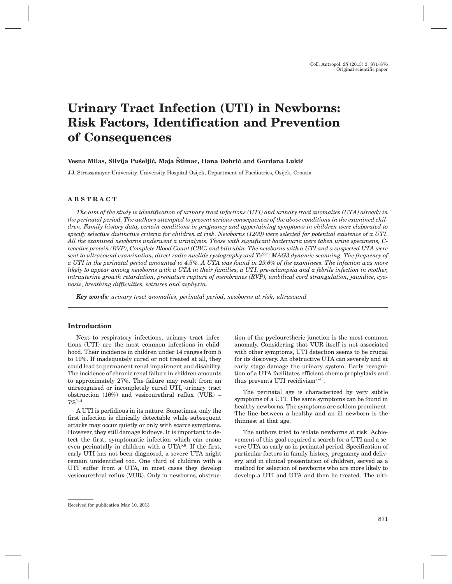# **Urinary Tract Infection (UTI) in Newborns: Risk Factors, Identification and Prevention of Consequences**

#### Vesna Milas, Silvija Pušeljić, Maja Štimac, Hana Dobrić and Gordana Lukić

J.J. Strosssmayer University, University Hospital Osijek, Department of Paediatrics, Osijek, Croatia

# **ABSTRACT**

*The aim of the study is identification of urinary tract infections (UTI) and urinary tract anomalies (UTA) already in the perinatal period. The authors attempted to prevent serious consequences of the above conditions in the examined children. Family history data, certain conditions in pregnancy and appertaining symptoms in children were elaborated to specify selective distinctive criteria for children at risk. Newborns (1200) were selected for potential existence of a UTI. All the examined newborns underwent a urinalysis. Those with significant bacteriuria were taken urine specimens, Creactive protein (RVP), Complete Blood Count (CBC) and bilirubin. The newborns with a UTI and a suspected UTA were sent to ultrasound examination, direct radio nuclide cystography and Tc99m MAG3 dynamic scanning. The frequency of a UTI in the perinatal period amounted to 4.5%. A UTA was found in 29.6% of the examinees. The infection was more likely to appear among newborns with a UTA in their families, a UTI, pre-eclampsia and a febrile infection in mother, intrauterine growth retardation, premature rupture of membranes (RVP), umbilical cord strangulation, jaundice, cyanosis, breathing difficulties, seizures and asphyxia.*

*Key words: urinary tract anomalies, perinatal period, newborns at risk, ultrasound*

#### **Introduction**

Next to respiratory infections, urinary tract infections (UTI) are the most common infections in childhood. Their incidence in children under 14 ranges from 5 to 10%. If inadequately cured or not treated at all, they could lead to permanent renal impairment and disability. The incidence of chronic renal failure in children amounts to approximately 27%. The failure may result from an unrecognised or incompletely cured UTI, urinary tract obstruction (16%) and vesicourethral reflux (VUR) –  $7\%$ <sup>1–4</sup>.

A UTI is perfidious in its nature. Sometimes, only the first infection is clinically detectable while subsequent attacks may occur quietly or only with scarce symptoms. However, they still damage kidneys. It is important to detect the first, symptomatic infection which can ensue even perinatally in children with a UTA5,6. If the first, early UTI has not been diagnosed, a severe UTA might remain unidentified too. One third of children with a UTI suffer from a UTA, in most cases they develop vesicourethral reflux (VUR). Only in newborns, obstruction of the pyelouretheric junction is the most common anomaly. Considering that VUR itself is not associated with other symptoms, UTI detection seems to be crucial for its discovery. An obstructive UTA can severely and at early stage damage the urinary system. Early recognition of a UTA facilitates efficient chemo prophylaxis and thus prevents UTI recidivism<sup>7-11</sup>.

The perinatal age is characterized by very subtle symptoms of a UTI. The same symptoms can be found in healthy newborns. The symptoms are seldom prominent. The line between a healthy and an ill newborn is the thinnest at that age.

The authors tried to isolate newborns at risk. Achievement of this goal required a search for a UTI and a severe UTA as early as in perinatal period. Specification of particular factors in family history, pregnancy and delivery, and in clinical presentation of children, served as a method for selection of newborns who are more likely to develop a UTI and UTA and then be treated. The ulti-

Received for publication May 10, 2013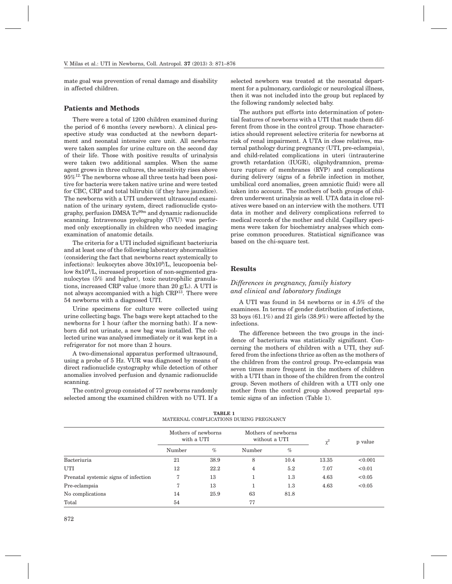mate goal was prevention of renal damage and disability in affected children.

## **Patients and Methods**

There were a total of 1200 children examined during the period of 6 months (every newborn). A clinical prospective study was conducted at the newborn department and neonatal intensive care unit. All newborns were taken samples for urine culture on the second day of their life. Those with positive results of urinalysis were taken two additional samples. When the same agent grows in three cultures, the sensitivity rises above  $95\%$ <sup>12.</sup> The newborns whose all three tests had been positive for bacteria were taken native urine and were tested for CBC, CRP and total bilirubin (if they have jaundice). The newborns with a UTI underwent ultrasound examination of the urinary system, direct radionuclide cystography, perfusion DMSA  $Tc^{99m}$  and dynamic radionuclide scanning. Intravenous pyelography (IVU) was performed only exceptionally in children who needed imaging examination of anatomic details.

The criteria for a UTI included significant bacteriuria and at least one of the following laboratory abnormalities (considering the fact that newborns react systemically to infections): leukocytes above 30x109/L, leucopoenia bellow 8x109/L, increased proportion of non-segmented granulocytes (5% and higher), toxic neutrophilic granulations, increased CRP value (more than 20 g/L). A UTI is not always accompanied with a high CRP13. There were 54 newborns with a diagnosed UTI.

Urine specimens for culture were collected using urine collecting bags. The bags were kept attached to the newborns for 1 hour (after the morning bath). If a newborn did not urinate, a new bag was installed. The collected urine was analysed immediately or it was kept in a refrigerator for not more than 2 hours.

A two-dimensional apparatus performed ultrasound, using a probe of 5 Hz. VUR was diagnosed by means of direct radionuclide cystography while detection of other anomalies involved perfusion and dynamic radionuclide scanning.

The control group consisted of 77 newborns randomly selected among the examined children with no UTI. If a

selected newborn was treated at the neonatal department for a pulmonary, cardiologic or neurological illness, then it was not included into the group but replaced by the following randomly selected baby.

The authors put efforts into determination of potential features of newborns with a UTI that made them different from those in the control group. Those characteristics should represent selective criteria for newborns at risk of renal impairment. A UTA in close relatives, maternal pathology during pregnancy (UTI, pre-eclampsia), and child-related complications in uteri (intrauterine growth retardation (IUGR), oligohydramnion, premature rupture of membranes (RVP) and complications during delivery (signs of a febrile infection in mother, umbilical cord anomalies, green amniotic fluid) were all taken into account. The mothers of both groups of children underwent urinalysis as well. UTA data in close relatives were based on an interview with the mothers. UTI data in mother and delivery complications referred to medical records of the mother and child. Capillary specimens were taken for biochemistry analyses which comprise common procedures. Statistical significance was based on the chi-square test.

#### **Results**

# *Differences in pregnancy, family history and clinical and laboratory findings*

A UTI was found in 54 newborns or in 4.5% of the examinees. In terms of gender distribution of infections, 33 boys (61.1%) and 21 girls (38.9%) were affected by the infections.

The difference between the two groups in the incidence of bacteriuria was statistically significant. Concerning the mothers of children with a UTI, they suffered from the infections thrice as often as the mothers of the children from the control group. Pre-eclampsia was seven times more frequent in the mothers of children with a UTI than in those of the children from the control group. Seven mothers of children with a UTI only one mother from the control group showed prepartal systemic signs of an infection (Table 1).

| TABLE 1<br>MATERNAL COMPLICATIONS DURING PREGNANCY             |                                                                                                                                                                                                                                                                                                                                    |
|----------------------------------------------------------------|------------------------------------------------------------------------------------------------------------------------------------------------------------------------------------------------------------------------------------------------------------------------------------------------------------------------------------|
| $\mathbf{r}$ is a set of $\mathbf{r}$ is a set of $\mathbf{r}$ | $\mathbf{r}$ $\mathbf{r}$ $\mathbf{r}$ $\mathbf{r}$ $\mathbf{r}$ $\mathbf{r}$ $\mathbf{r}$ $\mathbf{r}$ $\mathbf{r}$ $\mathbf{r}$ $\mathbf{r}$ $\mathbf{r}$ $\mathbf{r}$ $\mathbf{r}$ $\mathbf{r}$ $\mathbf{r}$ $\mathbf{r}$ $\mathbf{r}$ $\mathbf{r}$ $\mathbf{r}$ $\mathbf{r}$ $\mathbf{r}$ $\mathbf{r}$ $\mathbf{r}$ $\mathbf{$ |

|                                      | Mothers of newborns<br>with a UTI |      |                | Mothers of newborns<br>without a UTI |          | p value |
|--------------------------------------|-----------------------------------|------|----------------|--------------------------------------|----------|---------|
|                                      | Number                            | $\%$ | Number         | $\%$                                 | $\chi^2$ |         |
| Bacteriuria                          | 21                                | 38.9 | 8              | 10.4                                 | 13.35    | < 0.001 |
| UTI                                  | 12                                | 22.2 | $\overline{4}$ | 5.2                                  | 7.07     | < 0.01  |
| Prenatal systemic signs of infection | 7                                 | 13   |                | $1.3\,$                              | 4.63     | < 0.05  |
| Pre-eclampsia                        | 7                                 | 13   |                | 1.3                                  | 4.63     | < 0.05  |
| No complications                     | 14                                | 25.9 | 63             | 81.8                                 |          |         |
| Total                                | 54                                |      | 77             |                                      |          |         |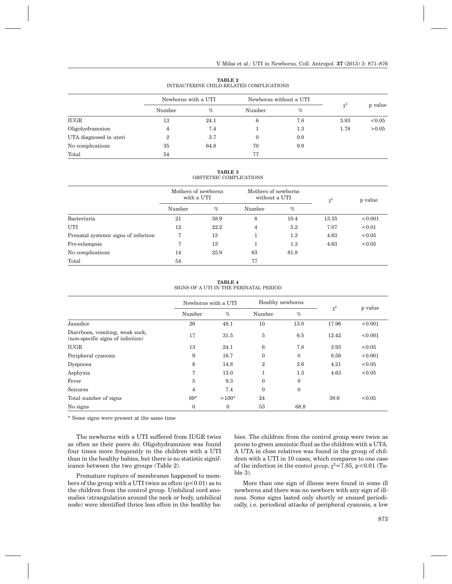| TABLE 2 |                                          |
|---------|------------------------------------------|
|         | INTRAUTERINE CHILD-RELATED COMPLICATIONS |

|                        | Newborns with a UTI |      |              | Newborns without a UTI |          |         |
|------------------------|---------------------|------|--------------|------------------------|----------|---------|
|                        | Number              | $\%$ | Number       | $\%$                   | $\chi^2$ | p value |
| <b>IUGR</b>            | 13                  | 24.1 | 6            | 7.8                    | 3.93     | < 0.05  |
| Oligohydramnion        | 4                   | 7.4  |              | $1.3\,$                | 1.78     | > 0.05  |
| UTA diagnosed in uteri |                     | 3.7  | $\mathbf{0}$ | 0.0                    |          |         |
| No complications       | 35                  | 64.8 | 70           | 9.9                    |          |         |
| Total                  | 54                  |      | 77           |                        |          |         |

**TABLE 3** OBSTETRIC COMPLICATIONS

|                                      | Mothers of newborns<br>with a UTI |      | Mothers of newborns<br>without a UTI |         | $\chi^2$ | p value |
|--------------------------------------|-----------------------------------|------|--------------------------------------|---------|----------|---------|
|                                      | Number                            | $\%$ | Number                               | $\%$    |          |         |
| Bacteriuria                          | 21                                | 38.9 | 8                                    | 10.4    | 13.35    | < 0.001 |
| UTI                                  | 12                                | 22.2 | 4                                    | 5.2     | 7.07     | < 0.01  |
| Prenatal systemic signs of infection | 7                                 | 13   |                                      | $1.3\,$ | 4.63     | < 0.05  |
| Pre-eclampsia                        | 7                                 | 13   |                                      | 1.3     | 4.63     | < 0.05  |
| No complications                     | 14                                | 25.9 | 63                                   | 81.8    |          |         |
| Total                                | 54                                |      | 77                                   |         |          |         |

**TABLE 4** SIGNS OF A UTI IN THE PERINATAL PERIOD

|                                                                      |                | Healthy newborns<br>Newborns with a UTI |                 |              |          |         |
|----------------------------------------------------------------------|----------------|-----------------------------------------|-----------------|--------------|----------|---------|
|                                                                      | Number         | $\%$                                    | Number          | $\%$         | $\chi^2$ | p value |
| Jaundice                                                             | 26             | 48.1                                    | 10              | 13.0         | 17.96    | < 0.001 |
| Diarrhoea, vomiting, weak suck,<br>(non-specific signs of infection) | 17             | 31.5                                    | 5               | 6.5          | 12.42    | < 0.001 |
| <b>IUGR</b>                                                          | 13             | 24.1                                    | $6\phantom{1}6$ | 7.8          | 3.93     | < 0.05  |
| Peripheral cyanosis                                                  | 9              | 16.7                                    | $\mathbf{0}$    | $\mathbf{0}$ | 8.56     | < 0.001 |
| Dyspnoea                                                             | 8              | 14.8                                    | $\overline{2}$  | 2.6          | 4.21     | < 0.05  |
| Asphyxia                                                             | 7              | 13.0                                    | 1               | $1.3\,$      | 4.63     | < 0.05  |
| Fever                                                                | 5              | 9.3                                     | $\mathbf{0}$    | $\mathbf{0}$ |          |         |
| Seizures                                                             | $\overline{4}$ | 7.4                                     | $\mathbf{0}$    | $\mathbf{0}$ |          |         |
| Total number of signs                                                | 89*            | $>100*$                                 | 24              |              | 59.6     | < 0.05  |
| No signs                                                             | $\mathbf{0}$   | $\mathbf{0}$                            | 53              | 68.8         |          |         |

\* Some signs were present at the same time

The newborns with a UTI suffered from IUGR twice as often as their peers do. Oligohydramnion was found four times more frequently in the children with a UTI than in the healthy babies, but there is no statistic significance between the two groups (Table 2).

Premature rupture of membranes happened to members of the group with a UTI twice as often  $(p<0.01)$  as to the children from the control group. Umbilical cord anomalies (strangulation around the neck or body, umbilical node) were identified thrice less often in the healthy babies. The children from the control group were twice as prone to green amniotic fluid as the children with a UTA. A UTA in close relatives was found in the group of children with a UTI in 10 cases, which compares to one case of the infection in the control group,  $\chi^2$ =7.85, p<0.01 (Table 3).

More than one sign of illness were found in some ill newborns and there was no newborn with any sign of illness. Some signs lasted only shortly or ensued periodically, i.e. periodical attacks of peripheral cyanosis, a low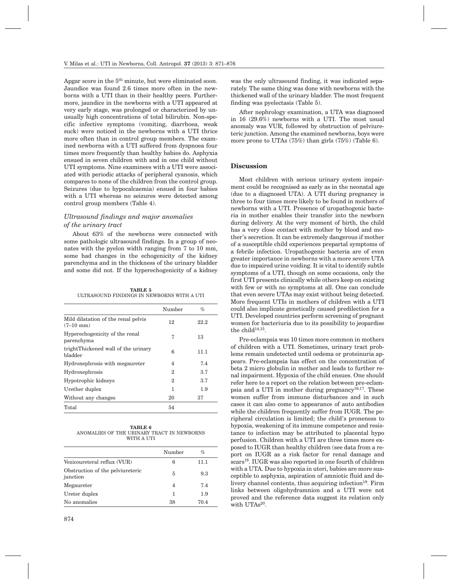Apgar score in the 5th minute, but were eliminated soon. Jaundice was found 2.6 times more often in the newborns with a UTI than in their healthy peers. Furthermore, jaundice in the newborns with a UTI appeared at very early stage, was prolonged or characterized by unusually high concentrations of total bilirubin. Non-specific infective symptoms (vomiting, diarrhoea, weak suck) were noticed in the newborns with a UTI thrice more often than in control group members. The examined newborns with a UTI suffered from dyspnoea four times more frequently than healthy babies do. Asphyxia ensued in seven children with and in one child without UTI symptoms. Nine examinees with a UTI were associated with periodic attacks of peripheral cyanosis, which compares to none of the children from the control group. Seizures (due to hypocalcaemia) ensued in four babies with a UTI whereas no seizures were detected among control group members (Table 4).

## *Ultrasound findings and major anomalies of the urinary tract*

About 63% of the newborns were connected with some pathologic ultrasound findings. In a group of neonates with the pyelon width ranging from 7 to 10 mm, some had changes in the echogenicity of the kidney parenchyma and in the thickness of the urinary bladder and some did not. If the hyperechogenicity of a kidney

**TABLE 5** ULTRASOUND FINDINGS IN NEWBORNS WITH A UTI

|                                                            | Number | $\%$ |
|------------------------------------------------------------|--------|------|
| Mild dilatation of the renal pelvis<br>$(7-10 \text{ mm})$ | 12     | 22.2 |
| Hyperechogenicity of the renal<br>parenchyma               | 7      | 13   |
| trightThickened wall of the urinary<br>bladder             | 6      | 11.1 |
| Hydronephrosis with megaureter                             | 4      | 7.4  |
| Hydronephrosis                                             | 2      | 3.7  |
| Hypotrophic kidneys                                        | 2      | 3.7  |
| Urether duplex                                             | 1      | 1.9  |
| Without any changes                                        | 20     | 37   |
| Total                                                      | 54     |      |

| TABLE 6                                    |  |  |  |  |  |
|--------------------------------------------|--|--|--|--|--|
| ANOMALIES OF THE URINARY TRACT IN NEWBORNS |  |  |  |  |  |
| WITH A UTI                                 |  |  |  |  |  |

|                                              | Number | %    |
|----------------------------------------------|--------|------|
| Vezicoureteral reflux (VUR)                  | 6      | 11.1 |
| Obstruction of the pelviureteric<br>junction | 5      | 9.3  |
| Megaureter                                   | 4      | 7.4  |
| Ureter duplex                                | 1      | 1.9  |
| No anomalies                                 | 38     | 70.4 |

was the only ultrasound finding, it was indicated separately. The same thing was done with newborns with the thickened wall of the urinary bladder. The most frequent finding was pyelectasis (Table 5).

After nephrology examination, a UTA was diagnosed in 16 (29.6%) newborns with a UTI. The most usual anomaly was VUR, followed by obstruction of pelviureteric junction. Among the examined newborns, boys were more prone to UTAs (75%) than girls (75%) (Table 6).

### **Discussion**

Most children with serious urinary system impairment could be recognised as early as in the neonatal age (due to a diagnosed UTA). A UTI during pregnancy is three to four times more likely to be found in mothers of newborns with a UTI. Presence of uropathogenic bacteria in mother enables their transfer into the newborn during delivery. At the very moment of birth, the child has a very close contact with mother by blood and mother's secretion. It can be extremely dangerous if mother of a susceptible child experiences prepartal symptoms of a febrile infection. Uropathogenic bacteria are of even greater importance in newborns with a more severe UTA due to impaired urine voiding. It is vital to identify subtle symptoms of a UTI, though on some occasions, only the first UTI presents clinically while others keep on existing with few or with no symptoms at all. One can conclude that even severe UTAs may exist without being detected. More frequent UTIs in mothers of children with a UTI could also implicate genetically caused predilection for a UTI. Developed countries perform screening of pregnant women for bacteriuria due to its possibility to jeopardise the child<sup>14,15</sup>.

Pre-eclampsia was 10 times more common in mothers of children with a UTI. Sometimes, urinary tract problems remain undetected until oedema or proteinuria appears. Pre-eclampsia has effect on the concentration of beta 2 micro globulin in mother and leads to further renal impairment. Hypoxia of the child ensues. One should refer here to a report on the relation between pre-eclampsia and a UTI in mother during pregnancy<sup>16,17</sup>. These women suffer from immune disturbances and in such cases it can also come to appearance of auto antibodies while the children frequently suffer from IUGR. The peripheral circulation is limited; the child's proneness to hypoxia, weakening of its immune competence and resistance to infection may be attributed to placental hypo perfusion. Children with a UTI are three times more exposed to IUGR than healthy children (see data from a report on IUGR as a risk factor for renal damage and scars<sup>18</sup>. IUGR was also reported in one fourth of children with a UTA. Due to hypoxia in uteri, babies are more susceptible to asphyxia, aspiration of amniotic fluid and delivery channel contents, thus acquiring infection<sup>19</sup>. Firm links between oligohydramnion and a UTI were not proved and the reference data suggest its relation only with UTAs<sup>20</sup>.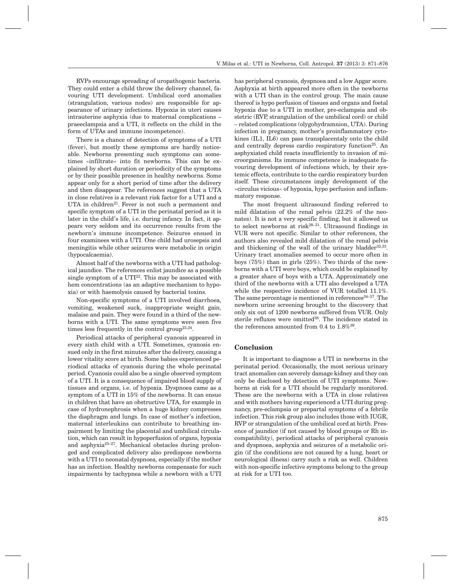RVPs encourage spreading of uropathogenic bacteria. They could enter a child throw the delivery channel, favouring UTI development. Umbilical cord anomalies (strangulation, various nodes) are responsible for appearance of urinary infections. Hypoxia in uteri causes intrauterine asphyxia (due to maternal complications – praeeclampsia and a UTI, it reflects on the child in the form of UTAs and immune incompetence).

There is a chance of detection of symptoms of a UTI (fever), but mostly these symptoms are hardly noticeable. Newborns presenting such symptoms can sometimes »infiltrate« into fit newborns. This can be explained by short duration or periodicity of the symptoms or by their possible presence in healthy newborns. Some appear only for a short period of time after the delivery and then disappear. The references suggest that a UTA in close relatives is a relevant risk factor for a UTI and a UTA in children<sup>21</sup>. Fever is not such a permanent and specific symptom of a UTI in the perinatal period as it is later in the child's life, i.e. during infancy. In fact, it appears very seldom and its occurrence results from the newborn's immune incompetence. Seizures ensued in four examinees with a UTI. One child had urosepsis and meningitis while other seizures were metabolic in origin (hypocalcaemia).

Almost half of the newborns with a UTI had pathological jaundice. The references enlist jaundice as a possible single symptom of a  $UTI<sup>22</sup>$ . This may be associated with hem concentrations (as an adaptive mechanism to hypoxia) or with haemolysis caused by bacterial toxins.

Non-specific symptoms of a UTI involved diarrhoea, vomiting, weakened suck, inappropriate weight gain, malaise and pain. They were found in a third of the newborns with a UTI. The same symptoms were seen five times less frequently in the control group<sup>23,24</sup>.

Periodical attacks of peripheral cyanosis appeared in every sixth child with a UTI. Sometimes, cyanosis ensued only in the first minutes after the delivery, causing a lower vitality score at birth. Some babies experienced periodical attacks of cyanosis during the whole perinatal period. Cyanosis could also be a single observed symptom of a UTI. It is a consequence of impaired blood supply of tissues and organs, i.e. of hypoxia. Dyspnoea came as a symptom of a UTI in 15% of the newborns. It can ensue in children that have an obstructive UTA, for example in case of hydronephrosis when a huge kidney compresses the diaphragm and lungs. In case of mother's infection, maternal interleukins can contribute to breathing impairment by limiting the placental and umbilical circulation, which can result in hypoperfusion of organs, hypoxia and asphyxia<sup>25–27</sup>. Mechanical obstacles during prolonged and complicated delivery also predispose newborns with a UTI to neonatal dyspnoea, especially if the mother has an infection. Healthy newborns compensate for such impairments by tachypnea while a newborn with a UTI has peripheral cyanosis, dyspnoea and a low Apgar score. Asphyxia at birth appeared more often in the newborns with a UTI than in the control group. The main cause thereof is hypo perfusion of tissues and organs and foetal hypoxia due to a UTI in mother, pre-eclampsia and obstetric (RVP, strangulation of the umbilical cord) or child – related complications (olygohydramnion, UTA). During infection in pregnancy, mother's proinflammatory cytokines (IL1, IL6) can pass transplacentaly onto the child and centrally depress cardio respiratory function<sup>25</sup>. An asphyxiated child reacts insufficiently to invasion of microorganisms. Its immune competence is inadequate favouring development of infections which, by their systemic effects, contribute to the cardio respiratory burden itself. These circumstances imply development of the »circulus vicious« of hypoxia, hypo perfusion and inflammatory response.

The most frequent ultrasound finding referred to mild dilatation of the renal pelvis (22.2% of the neonates). It is not a very specific finding, but it allowed us to select newborns at risk<sup>28–31</sup>. Ultrasound findings in VUR were not specific. Similar to other references, the authors also revealed mild dilatation of the renal pelvis and thickening of the wall of the urinary bladder $32,33$ . Urinary tract anomalies seemed to occur more often in boys (75%) than in girls (25%). Two thirds of the newborns with a UTI were boys, which could be explained by a greater share of boys with a UTA. Approximately one third of the newborns with a UTI also developed a UTA while the respective incidence of VUR totalled 11.1%. The same percentage is mentioned in references<sup>34-37</sup>. The newborn urine screening brought to the discovery that only six out of 1200 newborns suffered from VUR. Only sterile refluxes were omitted<sup>38</sup>. The incidence stated in the references amounted from 0.4 to  $1.8\%^{39}$ .

#### **Conclusion**

It is important to diagnose a UTI in newborns in the perinatal period. Occasionally, the most serious urinary tract anomalies can severely damage kidney and they can only be disclosed by detection of UTI symptoms. Newborns at risk for a UTI should be regularly monitored. These are the newborns with a UTA in close relatives and with mothers having experienced a UTI during pregnancy, pre-eclampsia or prepartal symptoms of a febrile infection. This risk group also includes those with IUGR, RVP or strangulation of the umbilical cord at birth. Presence of jaundice (if not caused by blood groups or Rh incompatibility), periodical attacks of peripheral cyanosis and dyspnoea, asphyxia and seizures of a metabolic origin (if the conditions are not caused by a lung, heart or neurological illness) carry such a risk as well. Children with non-specific infective symptoms belong to the group at risk for a UTI too.